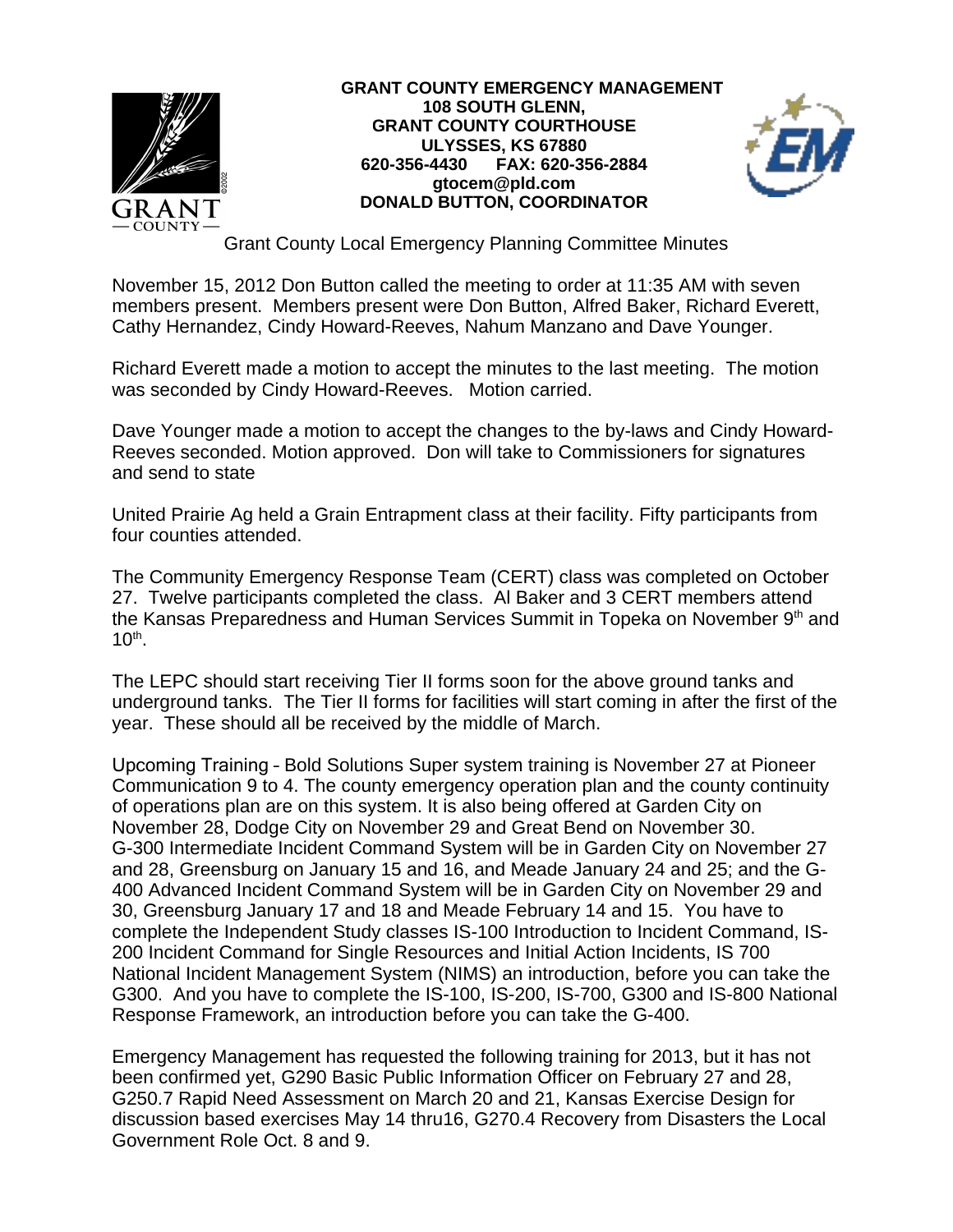

## **GRANT COUNTY EMERGENCY MANAGEMENT 108 SOUTH GLENN, GRANT COUNTY COURTHOUSE ULYSSES, KS 67880 620-356-4430 FAX: 620-356-2884 gtocem@pld.com DONALD BUTTON, COORDINATOR**



Grant County Local Emergency Planning Committee Minutes

November 15, 2012 Don Button called the meeting to order at 11:35 AM with seven members present. Members present were Don Button, Alfred Baker, Richard Everett, Cathy Hernandez, Cindy Howard-Reeves, Nahum Manzano and Dave Younger.

Richard Everett made a motion to accept the minutes to the last meeting. The motion was seconded by Cindy Howard-Reeves. Motion carried.

Dave Younger made a motion to accept the changes to the by-laws and Cindy Howard-Reeves seconded. Motion approved. Don will take to Commissioners for signatures and send to state

United Prairie Ag held a Grain Entrapment class at their facility. Fifty participants from four counties attended.

The Community Emergency Response Team (CERT) class was completed on October 27. Twelve participants completed the class. Al Baker and 3 CERT members attend the Kansas Preparedness and Human Services Summit in Topeka on November 9<sup>th</sup> and  $10<sup>th</sup>$ .

The LEPC should start receiving Tier II forms soon for the above ground tanks and underground tanks. The Tier II forms for facilities will start coming in after the first of the year. These should all be received by the middle of March.

Upcoming Training – Bold Solutions Super system training is November 27 at Pioneer Communication 9 to 4. The county emergency operation plan and the county continuity of operations plan are on this system. It is also being offered at Garden City on November 28, Dodge City on November 29 and Great Bend on November 30. G-300 Intermediate Incident Command System will be in Garden City on November 27 and 28, Greensburg on January 15 and 16, and Meade January 24 and 25; and the G-400 Advanced Incident Command System will be in Garden City on November 29 and 30, Greensburg January 17 and 18 and Meade February 14 and 15. You have to complete the Independent Study classes IS-100 Introduction to Incident Command, IS-200 Incident Command for Single Resources and Initial Action Incidents, IS 700 National Incident Management System (NIMS) an introduction, before you can take the G300. And you have to complete the IS-100, IS-200, IS-700, G300 and IS-800 National Response Framework, an introduction before you can take the G-400.

Emergency Management has requested the following training for 2013, but it has not been confirmed yet, G290 Basic Public Information Officer on February 27 and 28, G250.7 Rapid Need Assessment on March 20 and 21, Kansas Exercise Design for discussion based exercises May 14 thru16, G270.4 Recovery from Disasters the Local Government Role Oct. 8 and 9.